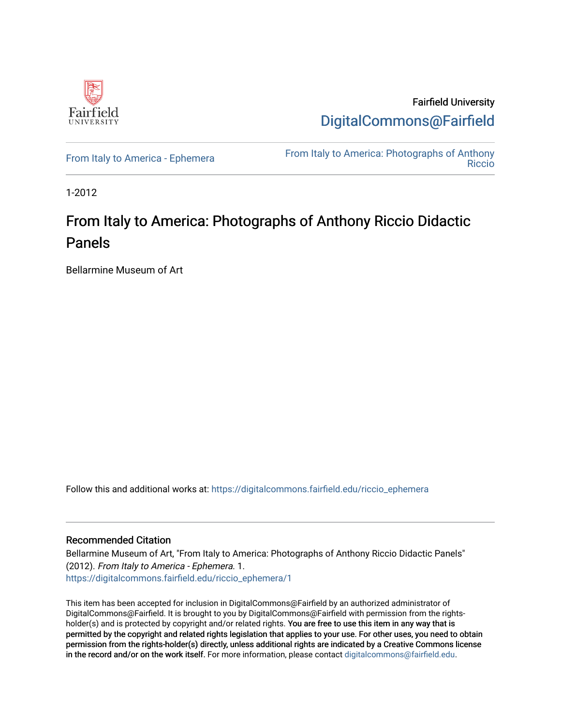

Fairfield University [DigitalCommons@Fairfield](https://digitalcommons.fairfield.edu/) 

[From Italy to America - Ephemera](https://digitalcommons.fairfield.edu/riccio_ephemera)<br>Biocio [Riccio](https://digitalcommons.fairfield.edu/riccio) 

1-2012

## From Italy to America: Photographs of Anthony Riccio Didactic Panels

Bellarmine Museum of Art

Follow this and additional works at: [https://digitalcommons.fairfield.edu/riccio\\_ephemera](https://digitalcommons.fairfield.edu/riccio_ephemera?utm_source=digitalcommons.fairfield.edu%2Friccio_ephemera%2F1&utm_medium=PDF&utm_campaign=PDFCoverPages)

## Recommended Citation

Bellarmine Museum of Art, "From Italy to America: Photographs of Anthony Riccio Didactic Panels" (2012). From Italy to America - Ephemera. 1. [https://digitalcommons.fairfield.edu/riccio\\_ephemera/1](https://digitalcommons.fairfield.edu/riccio_ephemera/1?utm_source=digitalcommons.fairfield.edu%2Friccio_ephemera%2F1&utm_medium=PDF&utm_campaign=PDFCoverPages) 

This item has been accepted for inclusion in DigitalCommons@Fairfield by an authorized administrator of DigitalCommons@Fairfield. It is brought to you by DigitalCommons@Fairfield with permission from the rightsholder(s) and is protected by copyright and/or related rights. You are free to use this item in any way that is permitted by the copyright and related rights legislation that applies to your use. For other uses, you need to obtain permission from the rights-holder(s) directly, unless additional rights are indicated by a Creative Commons license in the record and/or on the work itself. For more information, please contact [digitalcommons@fairfield.edu.](mailto:digitalcommons@fairfield.edu)